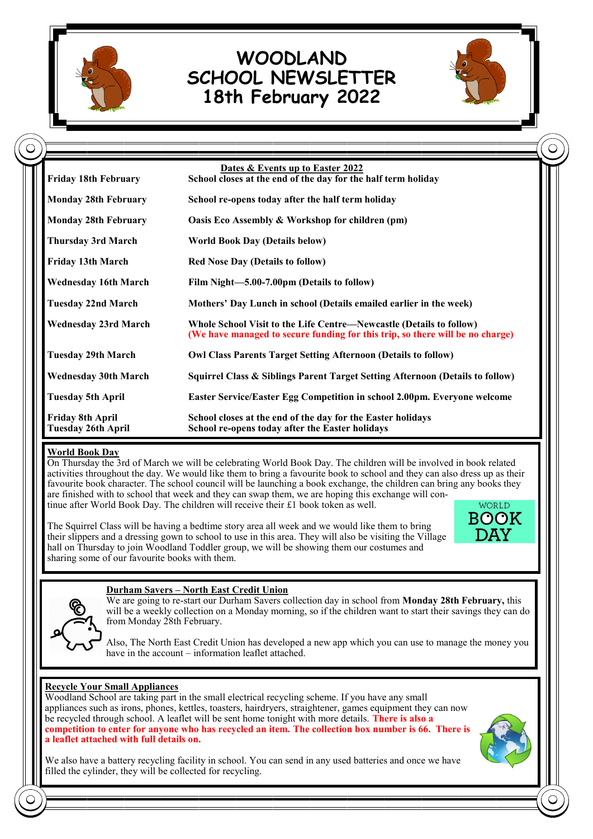

 $\mathsf{C}$ 

# **WOODLAND SCHOOL NEWSLETTER 18th February 2022**



| <b>Friday 18th February</b>                   | Dates & Events up to Easter 2022<br>School closes at the end of the day for the half term holiday                                                    |
|-----------------------------------------------|------------------------------------------------------------------------------------------------------------------------------------------------------|
| <b>Monday 28th February</b>                   | School re-opens today after the half term holiday                                                                                                    |
| <b>Monday 28th February</b>                   | Oasis Eco Assembly & Workshop for children (pm)                                                                                                      |
| <b>Thursday 3rd March</b>                     | <b>World Book Day (Details below)</b>                                                                                                                |
| <b>Friday 13th March</b>                      | <b>Red Nose Day (Details to follow)</b>                                                                                                              |
| <b>Wednesday 16th March</b>                   | Film Night-5.00-7.00pm (Details to follow)                                                                                                           |
| <b>Tuesday 22nd March</b>                     | Mothers' Day Lunch in school (Details emailed earlier in the week)                                                                                   |
| <b>Wednesday 23rd March</b>                   | Whole School Visit to the Life Centre—Newcastle (Details to follow)<br>(We have managed to secure funding for this trip, so there will be no charge) |
| <b>Tuesday 29th March</b>                     | <b>Owl Class Parents Target Setting Afternoon (Details to follow)</b>                                                                                |
| <b>Wednesday 30th March</b>                   | Squirrel Class & Siblings Parent Target Setting Afternoon (Details to follow)                                                                        |
| <b>Tuesday 5th April</b>                      | Easter Service/Easter Egg Competition in school 2.00pm. Everyone welcome                                                                             |
| Friday 8th April<br><b>Tuesday 26th April</b> | School closes at the end of the day for the Easter holidays<br>School re-opens today after the Easter holidays                                       |

#### **World Book Day**

On Thursday the 3rd of March we will be celebrating World Book Day. The children will be involved in book related activities throughout the day. We would like them to bring a favourite book to school and they can also dress up as their favourite book character. The school council will be launching a book exchange, the children can bring any books they are finished with to school that week and they can swap them, we are hoping this exchange will continue after World Book Day. The children will receive their £1 book token as well. WORLD

The Squirrel Class will be having a bedtime story area all week and we would like them to bring their slippers and a dressing gown to school to use in this area. They will also be visiting the Village hall on Thursday to join Woodland Toddler group, we will be showing them our costumes and sharing some of our favourite books with them.





#### **Durham Savers – North East Credit Union**

We are going to re-start our Durham Savers collection day in school from **Monday 28th February,** this will be a weekly collection on a Monday morning, so if the children want to start their savings they can do from Monday 28th February.

Also, The North East Credit Union has developed a new app which you can use to manage the money you have in the account – information leaflet attached.

#### **Recycle Your Small Appliances**

Woodland School are taking part in the small electrical recycling scheme. If you have any small appliances such as irons, phones, kettles, toasters, hairdryers, straightener, games equipment they can now be recycled through school. A leaflet will be sent home tonight with more details. **There is also a competition to enter for anyone who has recycled an item. The collection box number is 66. There is a leaflet attached with full details on.**



We also have a battery recycling facility in school. You can send in any used batteries and once we have filled the cylinder, they will be collected for recycling.